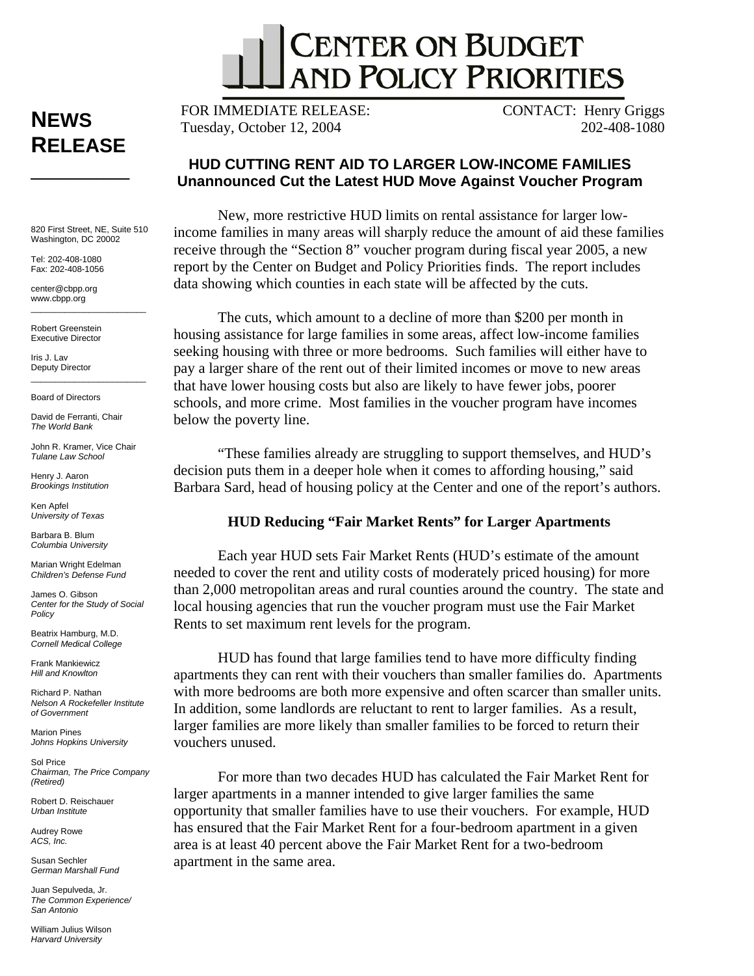

**NEWS RELEASE** 

\_\_\_\_\_\_\_\_\_

820 First Street, NE, Suite 510 Washington, DC 20002

Tel: 202-408-1080 Fax: 202-408-1056

center@cbpp.org www.cbpp.org  $\overline{\phantom{a}}$  , and the set of the set of the set of the set of the set of the set of the set of the set of the set of the set of the set of the set of the set of the set of the set of the set of the set of the set of the s

Robert Greenstein Executive Director

Iris J. Lav Deputy Director

Board of Directors

David de Ferranti, Chair *The World Bank* 

John R. Kramer, Vice Chair *Tulane Law School* 

 $\frac{1}{2}$  ,  $\frac{1}{2}$  ,  $\frac{1}{2}$  ,  $\frac{1}{2}$  ,  $\frac{1}{2}$  ,  $\frac{1}{2}$  ,  $\frac{1}{2}$  ,  $\frac{1}{2}$  ,  $\frac{1}{2}$  ,  $\frac{1}{2}$  ,  $\frac{1}{2}$  ,  $\frac{1}{2}$  ,  $\frac{1}{2}$  ,  $\frac{1}{2}$  ,  $\frac{1}{2}$  ,  $\frac{1}{2}$  ,  $\frac{1}{2}$  ,  $\frac{1}{2}$  ,  $\frac{1$ 

Henry J. Aaron *Brookings Institution* 

Ken Apfel *University of Texas* 

Barbara B. Blum *Columbia University* 

Marian Wright Edelman *Children's Defense Fund* 

James O. Gibson *Center for the Study of Social Policy* 

Beatrix Hamburg, M.D. *Cornell Medical College* 

Frank Mankiewicz *Hill and Knowlton* 

Richard P. Nathan *Nelson A Rockefeller Institute of Government* 

Marion Pines *Johns Hopkins University* 

Sol Price *Chairman, The Price Company (Retired)* 

Robert D. Reischauer *Urban Institute* 

Audrey Rowe *ACS, Inc.* 

Susan Sechler *German Marshall Fund* 

Juan Sepulveda, Jr. *The Common Experience/ San Antonio* 

William Julius Wilson *Harvard University* 

FOR IMMEDIATE RELEASE: Tuesday, October 12, 2004

CONTACT: Henry Griggs 202-408-1080

## **HUD CUTTING RENT AID TO LARGER LOW-INCOME FAMILIES Unannounced Cut the Latest HUD Move Against Voucher Program**

New, more restrictive HUD limits on rental assistance for larger lowincome families in many areas will sharply reduce the amount of aid these families receive through the "Section 8" voucher program during fiscal year 2005, a new report by the Center on Budget and Policy Priorities finds. The report includes data showing which counties in each state will be affected by the cuts.

The cuts, which amount to a decline of more than \$200 per month in housing assistance for large families in some areas, affect low-income families seeking housing with three or more bedrooms. Such families will either have to pay a larger share of the rent out of their limited incomes or move to new areas that have lower housing costs but also are likely to have fewer jobs, poorer schools, and more crime. Most families in the voucher program have incomes below the poverty line.

"These families already are struggling to support themselves, and HUD's decision puts them in a deeper hole when it comes to affording housing," said Barbara Sard, head of housing policy at the Center and one of the report's authors.

## **HUD Reducing "Fair Market Rents" for Larger Apartments**

Each year HUD sets Fair Market Rents (HUD's estimate of the amount needed to cover the rent and utility costs of moderately priced housing) for more than 2,000 metropolitan areas and rural counties around the country. The state and local housing agencies that run the voucher program must use the Fair Market Rents to set maximum rent levels for the program.

HUD has found that large families tend to have more difficulty finding apartments they can rent with their vouchers than smaller families do. Apartments with more bedrooms are both more expensive and often scarcer than smaller units. In addition, some landlords are reluctant to rent to larger families. As a result, larger families are more likely than smaller families to be forced to return their vouchers unused.

For more than two decades HUD has calculated the Fair Market Rent for larger apartments in a manner intended to give larger families the same opportunity that smaller families have to use their vouchers. For example, HUD has ensured that the Fair Market Rent for a four-bedroom apartment in a given area is at least 40 percent above the Fair Market Rent for a two-bedroom apartment in the same area.